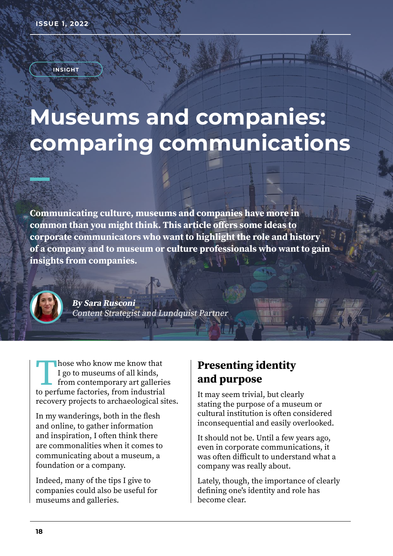**INSIGHT**

# **Museums and companies: comparing communications**

**Communicating culture, museums and companies have more in common than you might think. This article offers some ideas to corporate communicators who want to highlight the role and history of a company and to museum or culture professionals who want to gain insights from companies.**



**By Sara Rusconi** Content Strategist and Lundquist Partner

Those who know me know that<br>I go to museums of all kinds,<br>from contemporary art gallerion<br>to perfume factories, from industrial I go to museums of all kinds, from contemporary art galleries to perfume factories, from industrial recovery projects to archaeological sites.

In my wanderings, both in the flesh and online, to gather information and inspiration, I often think there are commonalities when it comes to communicating about a museum, a foundation or a company.

Indeed, many of the tips I give to companies could also be useful for museums and galleries.

## **Presenting identity and purpose**

It may seem trivial, but clearly stating the purpose of a museum or cultural institution is often considered inconsequential and easily overlooked.

It should not be. Until a few years ago, even in corporate communications, it was often difficult to understand what a company was really about.

Lately, though, the importance of clearly defining one's identity and role has become clear.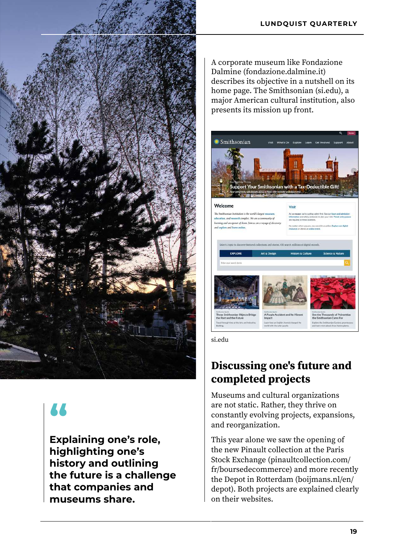

# **"**

**Explaining one's role, highlighting one's history and outlining the future is a challenge that companies and museums share.**

A corporate museum like Fondazione Dalmine (fondazione.dalmine.it) describes its objective in a nutshell on its home page. The Smithsonian (si.edu), a major American cultural institution, also presents its mission up front.

• Smithsonian 離 nuann u n n'a n upport Your Smithsonian with a Tax-Deductible Gift! Welcome  $V<sub>1</sub>$ nian Institution is the world's larg .<br><mark>ion, and research complex</mark>. We are a ing and an opener of doors. Join us on  $\frac{1}{2}$ 

si.edu

# **Discussing one's future and completed projects**

Museums and cultural organizations are not static. Rather, they thrive on constantly evolving projects, expansions, and reorganization.

This year alone we saw the opening of the new Pinault collection at the Paris Stock Exchange (pinaultcollection.com/ fr/boursedecommerce) and more recently the Depot in Rotterdam (boijmans.nl/en/ depot). Both projects are explained clearly on their websites.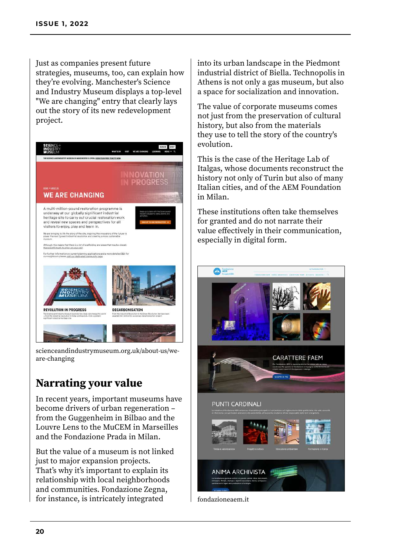Just as companies present future strategies, museums, too, can explain how they're evolving. Manchester's Science and Industry Museum displays a top-level "We are changing" entry that clearly lays out the story of its new redevelopment project.



scienceandindustrymuseum.org.uk/about-us/weare-changing

#### **Narrating your value**

In recent years, important museums have become drivers of urban regeneration – from the Guggenheim in Bilbao and the Louvre Lens to the MuCEM in Marseilles and the Fondazione Prada in Milan.

But the value of a museum is not linked just to major expansion projects. That's why it's important to explain its relationship with local neighborhoods and communities. Fondazione Zegna, for instance, is intricately integrated

into its urban landscape in the Piedmont industrial district of Biella. Technopolis in Athens is not only a gas museum, but also a space for socialization and innovation.

The value of corporate museums comes not just from the preservation of cultural history, but also from the materials they use to tell the story of the country's evolution.

This is the case of the Heritage Lab of Italgas, whose documents reconstruct the history not only of Turin but also of many Italian cities, and of the AEM Foundation in Milan.

These institutions often take themselves for granted and do not narrate their value effectively in their communication, especially in digital form.



fondazioneaem.it